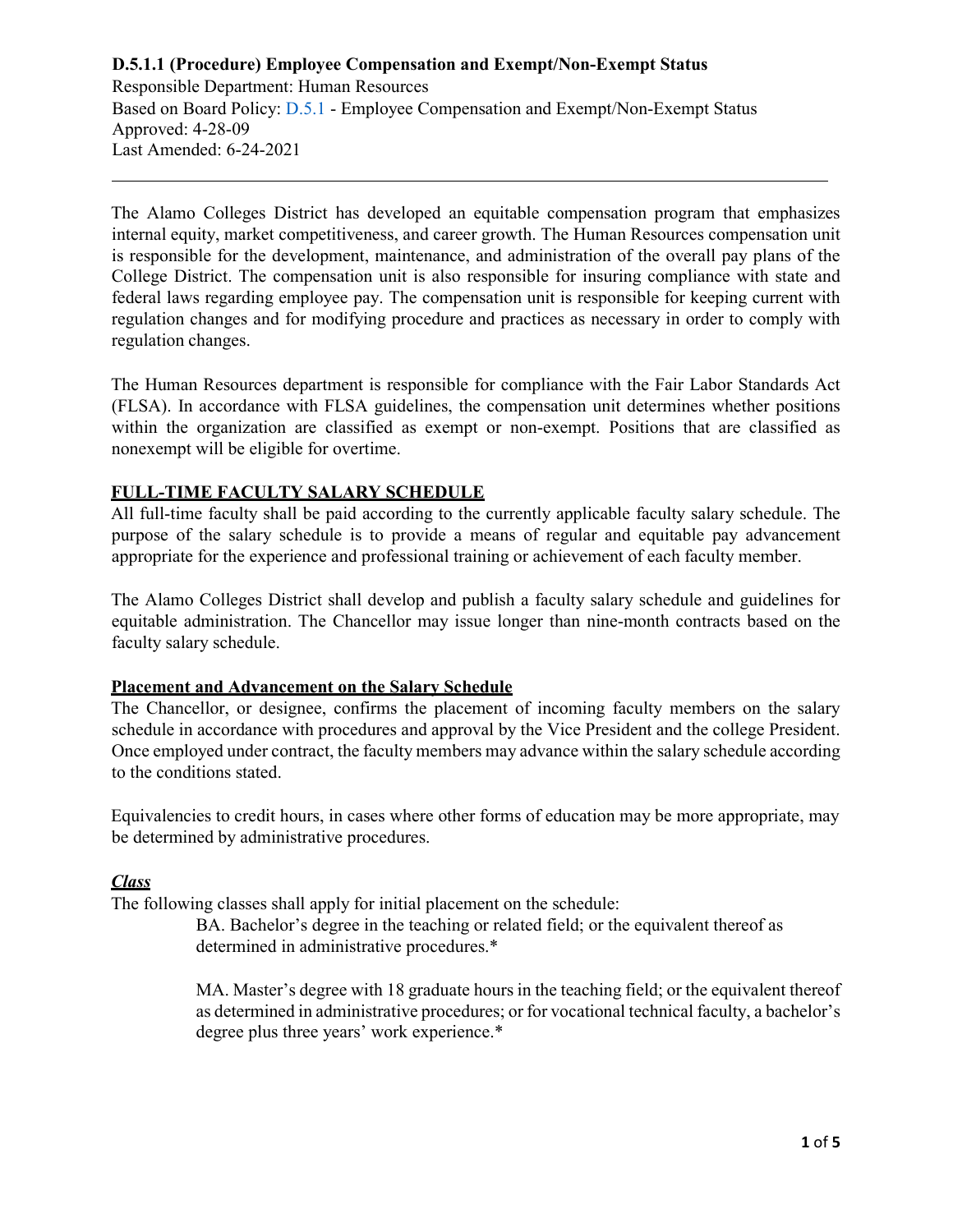Responsible Department: Human Resources Based on Board Policy: [D.5.1 -](https://www.alamo.edu/siteassets/district/about-us/leadership/board-of-trustees/policies-pdfs/section-d/d.5.1-policy.pdf) Employee Compensation and Exempt/Non-Exempt Status Approved: 4-28-09 Last Amended: 6-24-2021

The Alamo Colleges District has developed an equitable compensation program that emphasizes internal equity, market competitiveness, and career growth. The Human Resources compensation unit is responsible for the development, maintenance, and administration of the overall pay plans of the College District. The compensation unit is also responsible for insuring compliance with state and federal laws regarding employee pay. The compensation unit is responsible for keeping current with regulation changes and for modifying procedure and practices as necessary in order to comply with regulation changes.

The Human Resources department is responsible for compliance with the Fair Labor Standards Act (FLSA). In accordance with FLSA guidelines, the compensation unit determines whether positions within the organization are classified as exempt or non-exempt. Positions that are classified as nonexempt will be eligible for overtime.

## **FULL-TIME FACULTY SALARY SCHEDULE**

All full-time faculty shall be paid according to the currently applicable faculty salary schedule. The purpose of the salary schedule is to provide a means of regular and equitable pay advancement appropriate for the experience and professional training or achievement of each faculty member.

The Alamo Colleges District shall develop and publish a faculty salary schedule and guidelines for equitable administration. The Chancellor may issue longer than nine-month contracts based on the faculty salary schedule.

## **Placement and Advancement on the Salary Schedule**

The Chancellor, or designee, confirms the placement of incoming faculty members on the salary schedule in accordance with procedures and approval by the Vice President and the college President. Once employed under contract, the faculty members may advance within the salary schedule according to the conditions stated.

Equivalencies to credit hours, in cases where other forms of education may be more appropriate, may be determined by administrative procedures.

## *Class*

The following classes shall apply for initial placement on the schedule:

BA. Bachelor's degree in the teaching or related field; or the equivalent thereof as determined in administrative procedures.\*

MA. Master's degree with 18 graduate hours in the teaching field; or the equivalent thereof as determined in administrative procedures; or for vocational technical faculty, a bachelor's degree plus three years' work experience.\*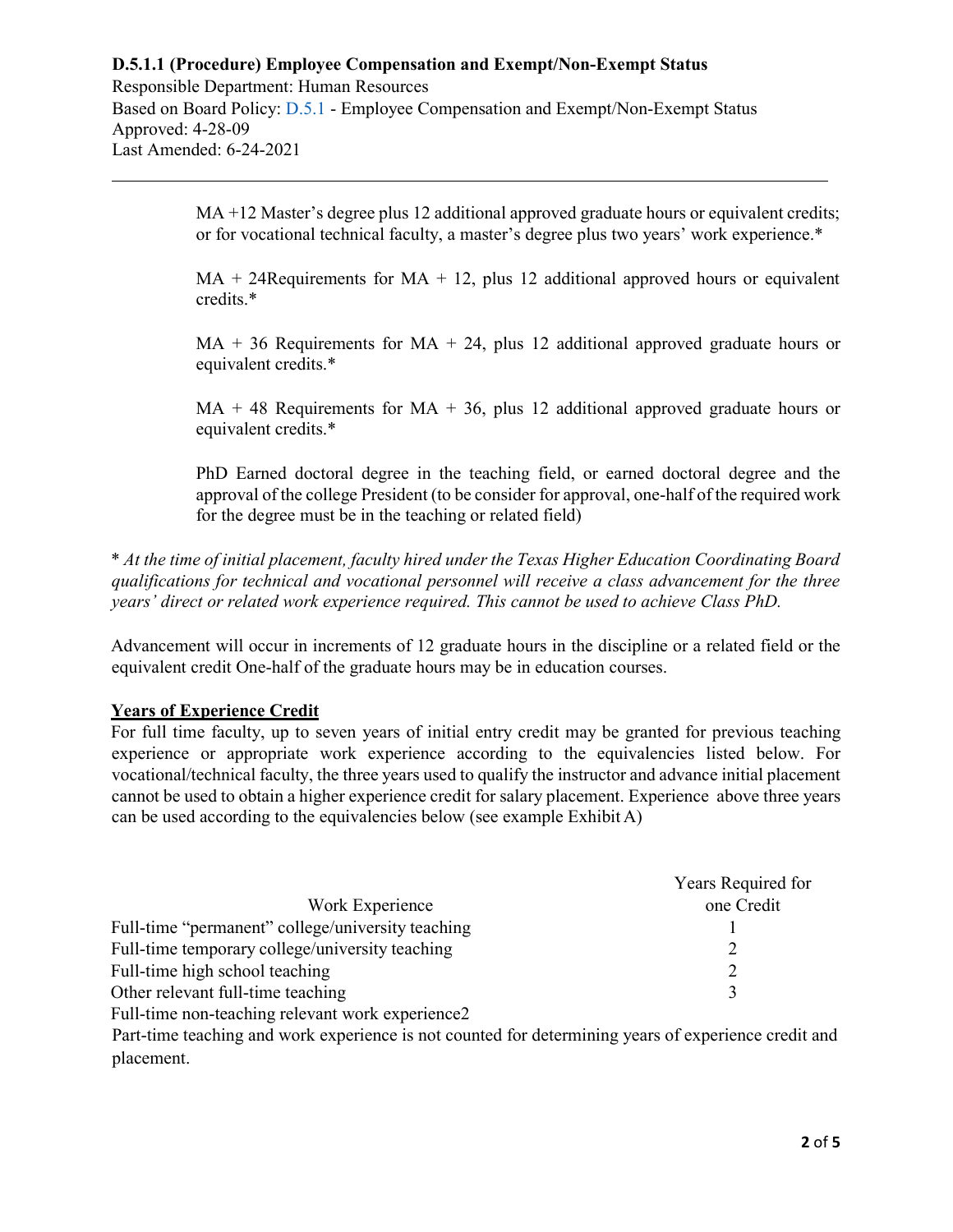Responsible Department: Human Resources Based on Board Policy: [D.5.1 -](https://www.alamo.edu/siteassets/district/about-us/leadership/board-of-trustees/policies-pdfs/section-d/d.5.1-policy.pdf) Employee Compensation and Exempt/Non-Exempt Status Approved: 4-28-09 Last Amended: 6-24-2021

> MA +12 Master's degree plus 12 additional approved graduate hours or equivalent credits; or for vocational technical faculty, a master's degree plus two years' work experience.\*

> $MA + 24$ Requirements for  $MA + 12$ , plus 12 additional approved hours or equivalent credits.\*

> $MA + 36$  Requirements for  $MA + 24$ , plus 12 additional approved graduate hours or equivalent credits.\*

> $MA + 48$  Requirements for  $MA + 36$ , plus 12 additional approved graduate hours or equivalent credits.\*

> PhD Earned doctoral degree in the teaching field, or earned doctoral degree and the approval of the college President (to be consider for approval, one-half of the required work for the degree must be in the teaching or related field)

\* *At the time of initial placement, faculty hired under the Texas Higher Education Coordinating Board qualifications for technical and vocational personnel will receive a class advancement for the three years' direct or related work experience required. This cannot be used to achieve Class PhD.*

Advancement will occur in increments of 12 graduate hours in the discipline or a related field or the equivalent credit One-half of the graduate hours may be in education courses.

## **Years of Experience Credit**

For full time faculty, up to seven years of initial entry credit may be granted for previous teaching experience or appropriate work experience according to the equivalencies listed below. For vocational/technical faculty, the three years used to qualify the instructor and advance initial placement cannot be used to obtain a higher experience credit for salary placement. Experience above three years can be used according to the equivalencies below (see example Exhibit A)

|                                                   | Years Required for |
|---------------------------------------------------|--------------------|
| Work Experience                                   | one Credit         |
| Full-time "permanent" college/university teaching |                    |
| Full-time temporary college/university teaching   |                    |
| Full-time high school teaching                    |                    |
| Other relevant full-time teaching                 |                    |
| Full-time non-teaching relevant work experience2  |                    |

Part-time teaching and work experience is not counted for determining years of experience credit and placement.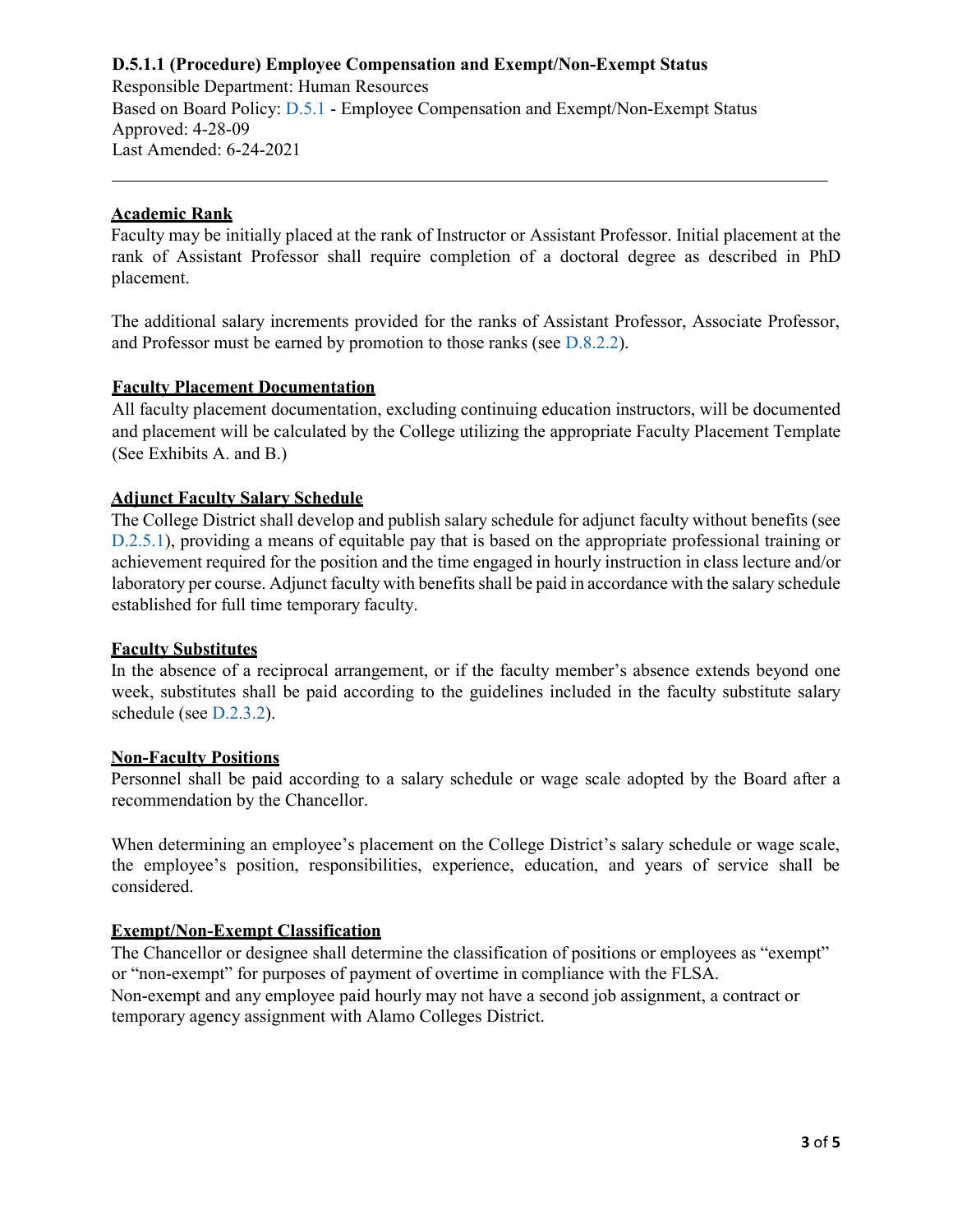Responsible Department: Human Resources Based on Board Policy: [D.5.1 -](https://www.alamo.edu/siteassets/district/about-us/leadership/board-of-trustees/policies-pdfs/section-d/d.5.1-policy.pdf) Employee Compensation and Exempt/Non-Exempt Status Approved: 4-28-09 Last Amended: 6-24-2021

### **Academic Rank**

Faculty may be initially placed at the rank of Instructor or Assistant Professor. Initial placement at the rank of Assistant Professor shall require completion of a doctoral degree as described in PhD placement.

The additional salary increments provided for the ranks of Assistant Professor, Associate Professor, and Professor must be earned by promotion to those ranks (see [D.8.2.2](https://www.alamo.edu/siteassets/district/about-us/leadership/board-of-trustees/policies-pdfs/section-d/d.8.2.2-procedure.pdf)[\).](http://www.alamo.edu/uploadedFiles/District/Employees/Departments/Ethics/pdf/policies/D.8.2.2-Procedure.pdf)

### **Faculty Placement Documentation**

All faculty placement documentation, excluding continuing education instructors, will be documented and placement will be calculated by the College utilizing the appropriate Faculty Placement Template (See Exhibits A. and B.)

### **Adjunct Faculty Salary Schedule**

The College District shall develop and publish salary schedule for adjunct faculty without benefits (see [D.2.5.1](https://www.alamo.edu/siteassets/district/about-us/leadership/board-of-trustees/policies-pdfs/section-d/d.2.5.1-procedure.pdf)[\),](http://www.alamo.edu/uploadedFiles/District/Employees/Departments/Ethics/pdf/policies/D.2.5.1-Procedure.pdf) providing a means of equitable pay that is based on the appropriate professional training or achievement required for the position and the time engaged in hourly instruction in class lecture and/or laboratory per course. Adjunct faculty with benefits shall be paid in accordance with the salary schedule established for full time temporary faculty.

#### **Faculty Substitutes**

In the absence of a reciprocal arrangement, or if the faculty member's absence extends beyond one week, substitutes shall be paid according to the guidelines included in the faculty substitute salary schedule (see [D.2.3.2](https://www.alamo.edu/siteassets/district/about-us/leadership/board-of-trustees/policies-pdfs/section-d/d.2.3.2-procedure.pdf)[\).](http://www.alamo.edu/uploadedFiles/District/Employees/Departments/Ethics/pdf/policies/D.2.3.2-Procedure.pdf)

#### **Non-Faculty Positions**

Personnel shall be paid according to a salary schedule or wage scale adopted by the Board after a recommendation by the Chancellor.

When determining an employee's placement on the College District's salary schedule or wage scale, the employee's position, responsibilities, experience, education, and years of service shall be considered.

## **Exempt/Non-Exempt Classification**

The Chancellor or designee shall determine the classification of positions or employees as "exempt" or "non-exempt" for purposes of payment of overtime in compliance with the FLSA. Non-exempt and any employee paid hourly may not have a second job assignment, a contract or temporary agency assignment with Alamo Colleges District.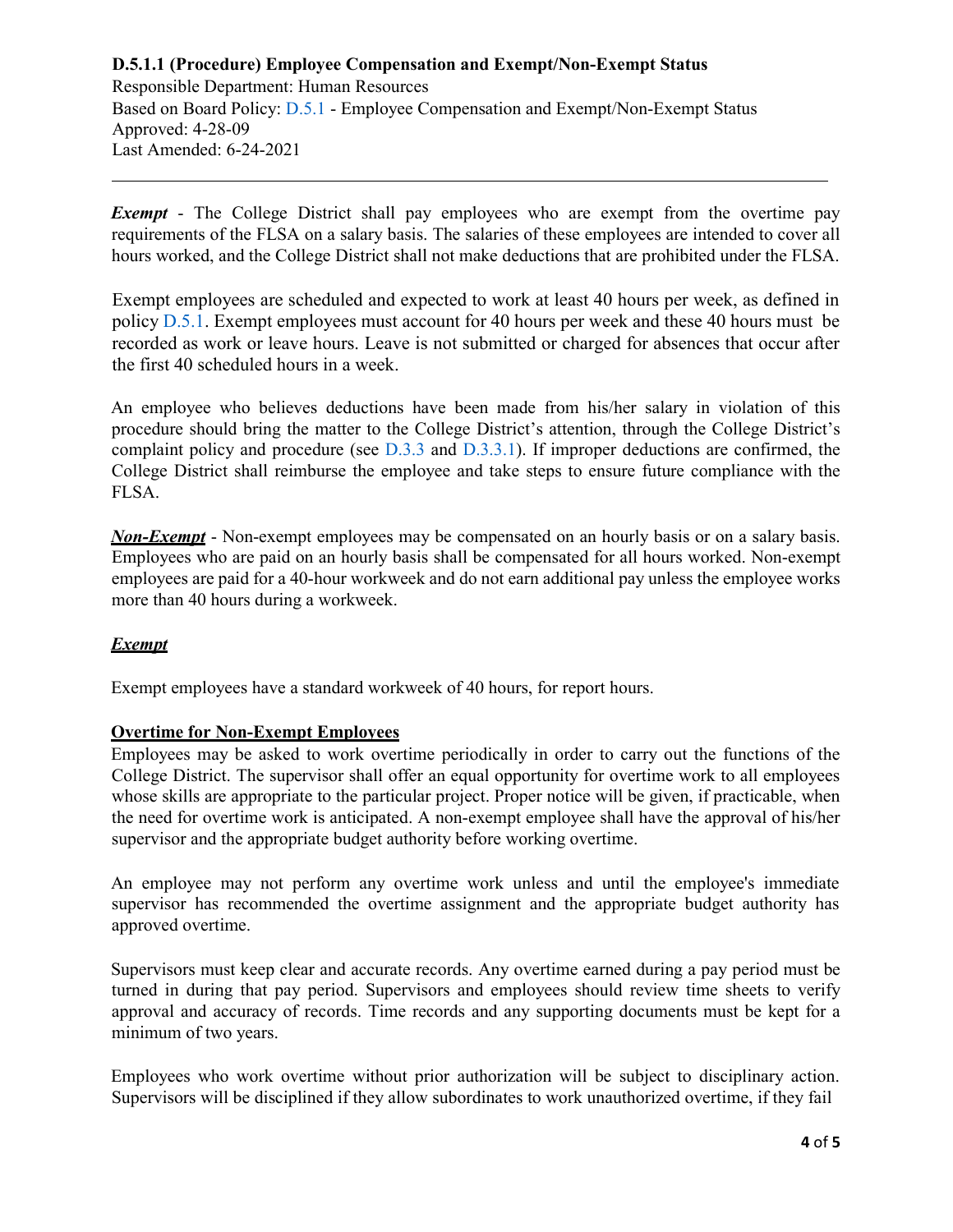Responsible Department: Human Resources Based on Board Policy: [D.5.1 -](https://www.alamo.edu/siteassets/district/about-us/leadership/board-of-trustees/policies-pdfs/section-d/d.5.1-policy.pdf) Employee Compensation and Exempt/Non-Exempt Status Approved: 4-28-09 Last Amended: 6-24-2021

*Exempt* - The College District shall pay employees who are exempt from the overtime pay requirements of the FLSA on a salary basis. The salaries of these employees are intended to cover all hours worked, and the College District shall not make deductions that are prohibited under the FLSA.

Exempt employees are scheduled and expected to work at least 40 hours per week, as defined in policy [D.5.1](https://www.alamo.edu/siteassets/district/about-us/leadership/board-of-trustees/policies-pdfs/section-d/d.5.1-policy.pdf)[.](http://wcmsstg.alamo.edu/uploadedFiles/District/Employees/Departments/Ethics/pdf/policies/D.5.1-Policy.pdf) Exempt employees must account for 40 hours per week and these 40 hours must be recorded as work or leave hours. Leave is not submitted or charged for absences that occur after the first 40 scheduled hours in a week.

An employee who believes deductions have been made from his/her salary in violation of this procedure should bring the matter to the College District's attention, through the College District's complaint policy and procedure (see [D.3.3 a](https://www.alamo.edu/siteassets/district/about-us/leadership/board-of-trustees/policies-pdfs/section-d/d.3.3-policy.pdf)nd [D.3.3.1](https://www.alamo.edu/siteassets/district/about-us/leadership/board-of-trustees/policies-pdfs/section-d/d.3.3.1-procedure.pdf)[\).](http://www.alamo.edu/uploadedFiles/District/Employees/Departments/Ethics/pdf/policies/D.3.3.1-Procedure.pdf) If improper deductions are confirmed, the College District shall reimburse the employee and take steps to ensure future compliance with the FLSA.

*Non-Exempt* - Non-exempt employees may be compensated on an hourly basis or on a salary basis. Employees who are paid on an hourly basis shall be compensated for all hours worked. Non-exempt employees are paid for a 40-hour workweek and do not earn additional pay unless the employee works more than 40 hours during a workweek.

## *Exempt*

Exempt employees have a standard workweek of 40 hours, for report hours.

#### **Overtime for Non-Exempt Employees**

Employees may be asked to work overtime periodically in order to carry out the functions of the College District. The supervisor shall offer an equal opportunity for overtime work to all employees whose skills are appropriate to the particular project. Proper notice will be given, if practicable, when the need for overtime work is anticipated. A non-exempt employee shall have the approval of his/her supervisor and the appropriate budget authority before working overtime.

An employee may not perform any overtime work unless and until the employee's immediate supervisor has recommended the overtime assignment and the appropriate budget authority has approved overtime.

Supervisors must keep clear and accurate records. Any overtime earned during a pay period must be turned in during that pay period. Supervisors and employees should review time sheets to verify approval and accuracy of records. Time records and any supporting documents must be kept for a minimum of two years.

Employees who work overtime without prior authorization will be subject to disciplinary action. Supervisors will be disciplined if they allow subordinates to work unauthorized overtime, if they fail